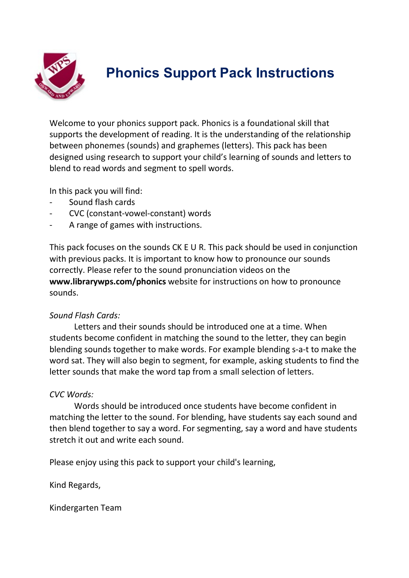

### **Phonics Support Pack Instructions**

Welcome to your phonics support pack. Phonics is a foundational skill that supports the development of reading. It is the understanding of the relationship between phonemes (sounds) and graphemes (letters). This pack has been designed using research to support your child's learning of sounds and letters to blend to read words and segment to spell words.

In this pack you will find:

- Sound flash cards
- CVC (constant-vowel-constant) words
- A range of games with instructions.

This pack focuses on the sounds CK E U R. This pack should be used in conjunction with previous packs. It is important to know how to pronounce our sounds correctly. Please refer to the sound pronunciation videos on the **www.librarywps.com/phonics** website for instructions on how to pronounce sounds.

#### *Sound Flash Cards:*

Letters and their sounds should be introduced one at a time. When students become confident in matching the sound to the letter, they can begin blending sounds together to make words. For example blending s-a-t to make the word sat. They will also begin to segment, for example, asking students to find the letter sounds that make the word tap from a small selection of letters.

#### *CVC Words:*

Words should be introduced once students have become confident in matching the letter to the sound. For blending, have students say each sound and then blend together to say a word. For segmenting, say a word and have students stretch it out and write each sound.

Please enjoy using this pack to support your child's learning,

Kind Regards,

Kindergarten Team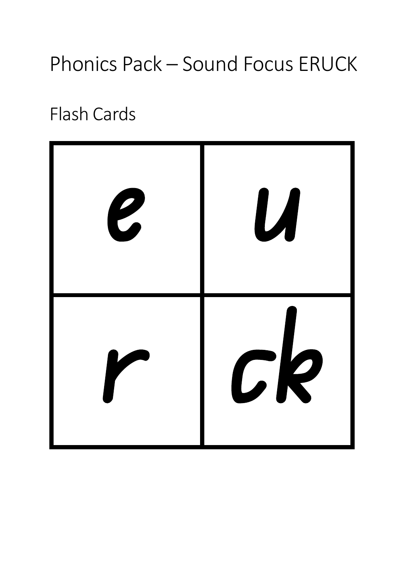# Phonics Pack – Sound Focus ERUCK

## Flash Cards

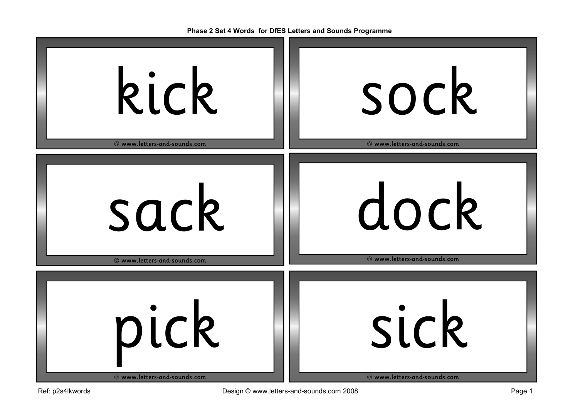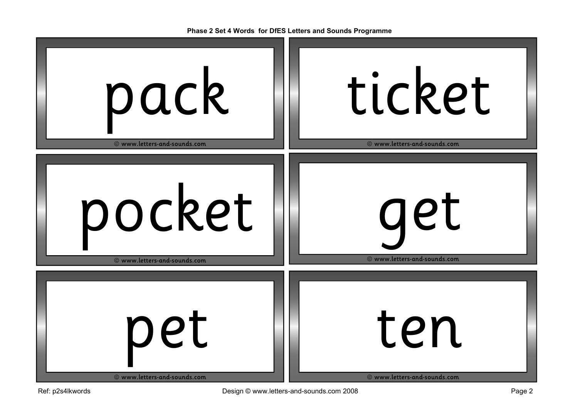| pack                         | ticket                       |
|------------------------------|------------------------------|
| © www.letters-and-sounds.com | © www.letters-and-sounds.com |
| pocket                       | get                          |
| © www.letters-and-sounds.com | © www.letters-and-sounds.com |
| pet                          | ten                          |
| © www.letters-and-sounds.com | © www.letters-and-sounds.com |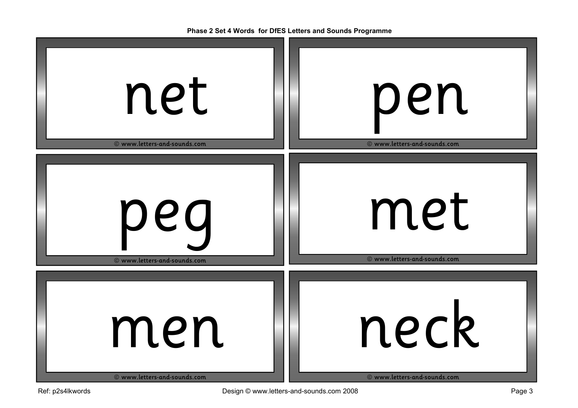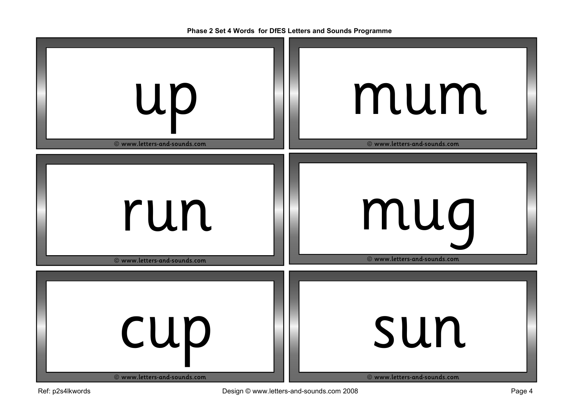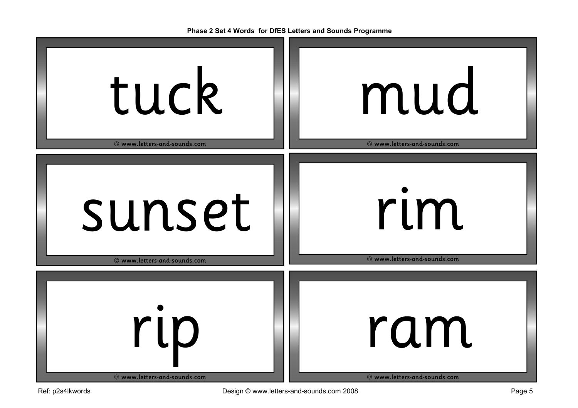| tuck                         | mud                          |
|------------------------------|------------------------------|
| © www.letters-and-sounds.com | © www.letters-and-sounds.com |
| sunset                       | rim                          |
| © www.letters-and-sounds.com | © www.letters-and-sounds.com |
| rip                          | ram                          |
| © www.letters-and-sounds.com | © www.letters-and-sounds.com |